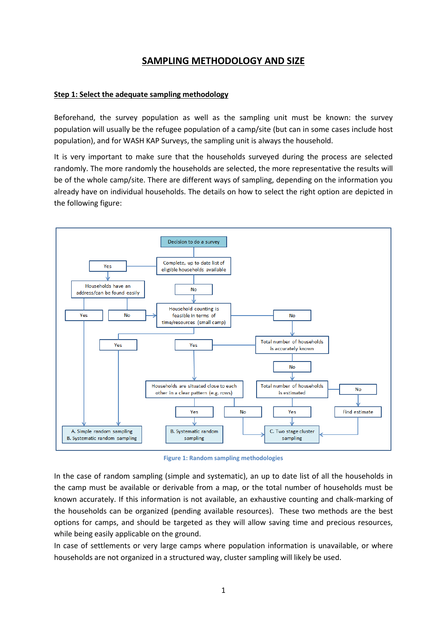# **SAMPLING METHODOLOGY AND SIZE**

### **Step 1: Select the adequate sampling methodology**

Beforehand, the survey population as well as the sampling unit must be known: the survey population will usually be the refugee population of a camp/site (but can in some cases include host population), and for WASH KAP Surveys, the sampling unit is always the household.

It is very important to make sure that the households surveyed during the process are selected randomly. The more randomly the households are selected, the more representative the results will be of the whole camp/site. There are different ways of sampling, depending on the information you already have on individual households. The details on how to select the right option are depicted in the following figure:



**Figure 1: Random sampling methodologies**

In the case of random sampling (simple and systematic), an up to date list of all the households in the camp must be available or derivable from a map, or the total number of households must be known accurately. If this information is not available, an exhaustive counting and chalk-marking of the households can be organized (pending available resources). These two methods are the best options for camps, and should be targeted as they will allow saving time and precious resources, while being easily applicable on the ground.

In case of settlements or very large camps where population information is unavailable, or where households are not organized in a structured way, cluster sampling will likely be used.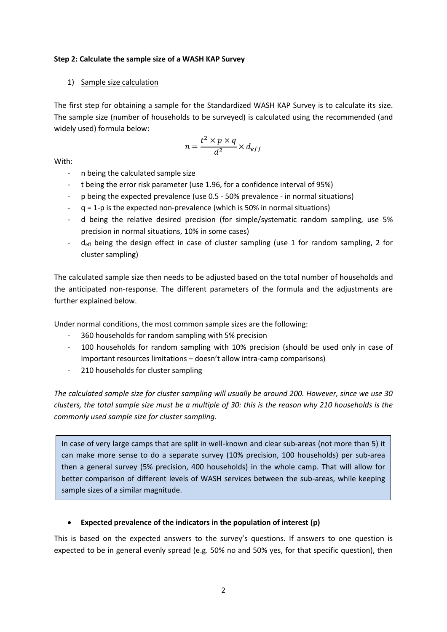#### **Step 2: Calculate the sample size of a WASH KAP Survey**

# 1) Sample size calculation

The first step for obtaining a sample for the Standardized WASH KAP Survey is to calculate its size. The sample size (number of households to be surveyed) is calculated using the recommended (and widely used) formula below:

$$
n = \frac{t^2 \times p \times q}{d^2} \times d_{eff}
$$

With:

- n being the calculated sample size
- t being the error risk parameter (use 1.96, for a confidence interval of 95%)
- p being the expected prevalence (use 0.5 50% prevalence in normal situations)
- q = 1-p is the expected non-prevalence (which is 50% in normal situations)
- d being the relative desired precision (for simple/systematic random sampling, use 5% precision in normal situations, 10% in some cases)
- $d_{\text{eff}}$  being the design effect in case of cluster sampling (use 1 for random sampling, 2 for cluster sampling)

The calculated sample size then needs to be adjusted based on the total number of households and the anticipated non-response. The different parameters of the formula and the adjustments are further explained below.

Under normal conditions, the most common sample sizes are the following:

- 360 households for random sampling with 5% precision
- 100 households for random sampling with 10% precision (should be used only in case of important resources limitations – doesn't allow intra-camp comparisons)
- 210 households for cluster sampling

*The calculated sample size for cluster sampling will usually be around 200. However, since we use 30 clusters, the total sample size must be a multiple of 30: this is the reason why 210 households is the commonly used sample size for cluster sampling.* 

In case of very large camps that are split in well-known and clear sub-areas (not more than 5) it can make more sense to do a separate survey (10% precision, 100 households) per sub-area then a general survey (5% precision, 400 households) in the whole camp. That will allow for better comparison of different levels of WASH services between the sub-areas, while keeping sample sizes of a similar magnitude.

# **Expected prevalence of the indicators in the population of interest (p)**

This is based on the expected answers to the survey's questions. If answers to one question is expected to be in general evenly spread (e.g. 50% no and 50% yes, for that specific question), then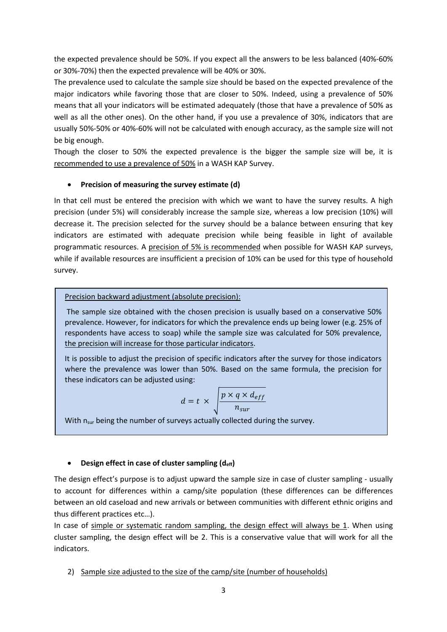the expected prevalence should be 50%. If you expect all the answers to be less balanced (40%-60% or 30%-70%) then the expected prevalence will be 40% or 30%.

The prevalence used to calculate the sample size should be based on the expected prevalence of the major indicators while favoring those that are closer to 50%. Indeed, using a prevalence of 50% means that all your indicators will be estimated adequately (those that have a prevalence of 50% as well as all the other ones). On the other hand, if you use a prevalence of 30%, indicators that are usually 50%-50% or 40%-60% will not be calculated with enough accuracy, as the sample size will not be big enough.

Though the closer to 50% the expected prevalence is the bigger the sample size will be, it is recommended to use a prevalence of 50% in a WASH KAP Survey.

# **Precision of measuring the survey estimate (d)**

In that cell must be entered the precision with which we want to have the survey results. A high precision (under 5%) will considerably increase the sample size, whereas a low precision (10%) will decrease it. The precision selected for the survey should be a balance between ensuring that key indicators are estimated with adequate precision while being feasible in light of available programmatic resources. A precision of 5% is recommended when possible for WASH KAP surveys, while if available resources are insufficient a precision of 10% can be used for this type of household survey.

# Precision backward adjustment (absolute precision):

The sample size obtained with the chosen precision is usually based on a conservative 50% prevalence. However, for indicators for which the prevalence ends up being lower (e.g. 25% of respondents have access to soap) while the sample size was calculated for 50% prevalence, the precision will increase for those particular indicators.

It is possible to adjust the precision of specific indicators after the survey for those indicators where the prevalence was lower than 50%. Based on the same formula, the precision for these indicators can be adjusted using:

$$
d = t \times \sqrt{\frac{p \times q \times d_{eff}}{n_{sur}}}
$$

With n<sub>sur</sub> being the number of surveys actually collected during the survey.

# **Design effect in case of cluster sampling (deff)**

The design effect's purpose is to adjust upward the sample size in case of cluster sampling - usually to account for differences within a camp/site population (these differences can be differences between an old caseload and new arrivals or between communities with different ethnic origins and thus different practices etc…).

In case of simple or systematic random sampling, the design effect will always be  $1$ . When using cluster sampling, the design effect will be 2. This is a conservative value that will work for all the indicators.

2) Sample size adjusted to the size of the camp/site (number of households)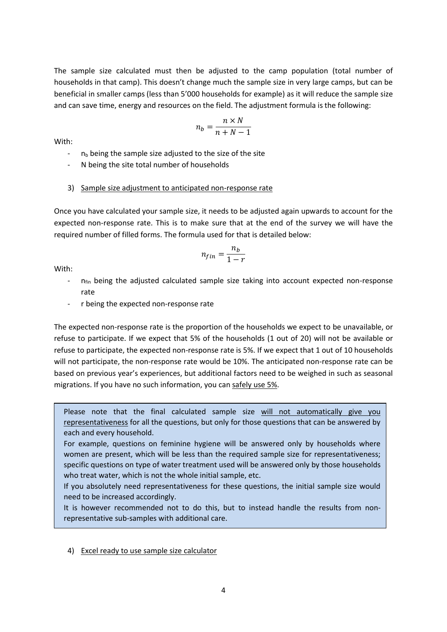The sample size calculated must then be adjusted to the camp population (total number of households in that camp). This doesn't change much the sample size in very large camps, but can be beneficial in smaller camps (less than 5'000 households for example) as it will reduce the sample size and can save time, energy and resources on the field. The adjustment formula is the following:

$$
n_b = \frac{n \times N}{n + N - 1}
$$

With:

- $-$  n<sub>b</sub> being the sample size adjusted to the size of the site
- N being the site total number of households

# 3) Sample size adjustment to anticipated non-response rate

Once you have calculated your sample size, it needs to be adjusted again upwards to account for the expected non-response rate. This is to make sure that at the end of the survey we will have the required number of filled forms. The formula used for that is detailed below:

$$
n_{fin} = \frac{n_b}{1 - r}
$$

With:

- $n_{fin}$  being the adjusted calculated sample size taking into account expected non-response rate
- r being the expected non-response rate

The expected non-response rate is the proportion of the households we expect to be unavailable, or refuse to participate. If we expect that 5% of the households (1 out of 20) will not be available or refuse to participate, the expected non-response rate is 5%. If we expect that 1 out of 10 households will not participate, the non-response rate would be 10%. The anticipated non-response rate can be based on previous year's experiences, but additional factors need to be weighed in such as seasonal migrations. If you have no such information, you can safely use 5%.

Please note that the final calculated sample size will not automatically give you representativeness for all the questions, but only for those questions that can be answered by each and every household.

For example, questions on feminine hygiene will be answered only by households where women are present, which will be less than the required sample size for representativeness; specific questions on type of water treatment used will be answered only by those households who treat water, which is not the whole initial sample, etc.

If you absolutely need representativeness for these questions, the initial sample size would need to be increased accordingly.

It is however recommended not to do this, but to instead handle the results from nonrepresentative sub-samples with additional care.

4) Excel ready to use sample size calculator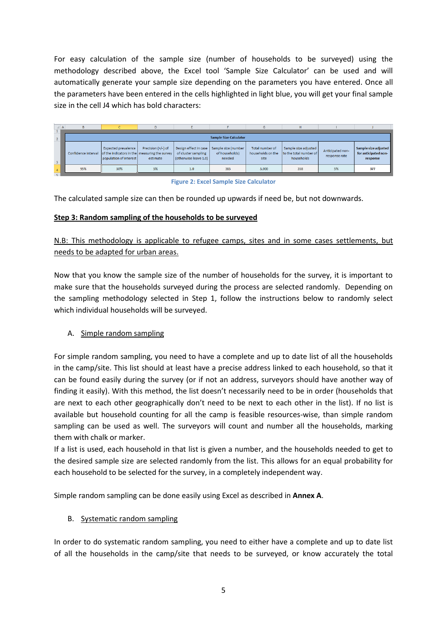For easy calculation of the sample size (number of households to be surveyed) using the methodology described above, the Excel tool 'Sample Size Calculator' can be used and will automatically generate your sample size depending on the parameters you have entered. Once all the parameters have been entered in the cells highlighted in light blue, you will get your final sample size in the cell J4 which has bold characters:

| $\overline{A}$ | в                             |                                                                                                | D                                |                                                                       |                                                 | G                                            | н                                                            |                                   |                                                          |  |  |
|----------------|-------------------------------|------------------------------------------------------------------------------------------------|----------------------------------|-----------------------------------------------------------------------|-------------------------------------------------|----------------------------------------------|--------------------------------------------------------------|-----------------------------------|----------------------------------------------------------|--|--|
|                |                               |                                                                                                |                                  |                                                                       |                                                 |                                              |                                                              |                                   |                                                          |  |  |
|                | <b>Sample Size Calculator</b> |                                                                                                |                                  |                                                                       |                                                 |                                              |                                                              |                                   |                                                          |  |  |
|                | Confidence interval           | Expected prevalence<br>of the indicators in the measuring the survey<br>population of interest | Precision $(+/-)$ of<br>estimate | Design effect in case<br>of cluster sampling<br>(otherwise leave 1.0) | Sample size (number<br>of households)<br>needed | Total number of<br>households on the<br>site | Sample size adjusted<br>to the total number of<br>households | Anticipated non-<br>response rate | Sample size adjusted<br>for anticipated non-<br>response |  |  |
|                | 95%                           | 50%                                                                                            | 5%                               | 1.0                                                                   | 385                                             | 5.000                                        | 358                                                          | 5%                                | 377                                                      |  |  |

**Figure 2: Excel Sample Size Calculator**

The calculated sample size can then be rounded up upwards if need be, but not downwards.

### **Step 3: Random sampling of the households to be surveyed**

N.B: This methodology is applicable to refugee camps, sites and in some cases settlements, but needs to be adapted for urban areas.

Now that you know the sample size of the number of households for the survey, it is important to make sure that the households surveyed during the process are selected randomly. Depending on the sampling methodology selected in Step 1, follow the instructions below to randomly select which individual households will be surveyed.

# A. Simple random sampling

For simple random sampling, you need to have a complete and up to date list of all the households in the camp/site. This list should at least have a precise address linked to each household, so that it can be found easily during the survey (or if not an address, surveyors should have another way of finding it easily). With this method, the list doesn't necessarily need to be in order (households that are next to each other geographically don't need to be next to each other in the list). If no list is available but household counting for all the camp is feasible resources-wise, than simple random sampling can be used as well. The surveyors will count and number all the households, marking them with chalk or marker.

If a list is used, each household in that list is given a number, and the households needed to get to the desired sample size are selected randomly from the list. This allows for an equal probability for each household to be selected for the survey, in a completely independent way.

Simple random sampling can be done easily using Excel as described in **Annex A**.

# B. Systematic random sampling

In order to do systematic random sampling, you need to either have a complete and up to date list of all the households in the camp/site that needs to be surveyed, or know accurately the total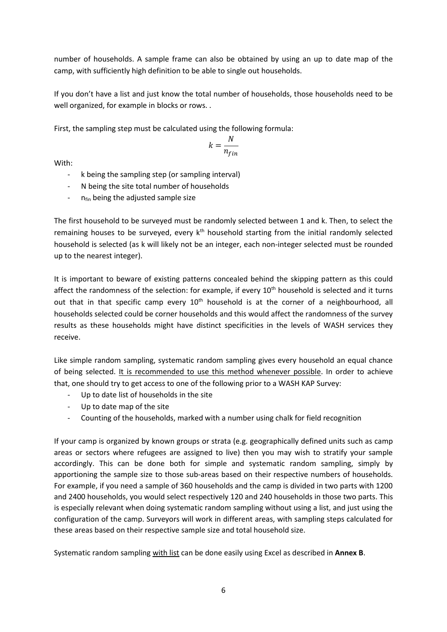number of households. A sample frame can also be obtained by using an up to date map of the camp, with sufficiently high definition to be able to single out households.

If you don't have a list and just know the total number of households, those households need to be well organized, for example in blocks or rows. .

First, the sampling step must be calculated using the following formula:

$$
k = \frac{N}{n_{fin}}
$$

With:

- k being the sampling step (or sampling interval)
- N being the site total number of households
- $n_{fin}$  being the adjusted sample size

The first household to be surveyed must be randomly selected between 1 and k. Then, to select the remaining houses to be surveyed, every k<sup>th</sup> household starting from the initial randomly selected household is selected (as k will likely not be an integer, each non-integer selected must be rounded up to the nearest integer).

It is important to beware of existing patterns concealed behind the skipping pattern as this could affect the randomness of the selection: for example, if every 10<sup>th</sup> household is selected and it turns out that in that specific camp every 10<sup>th</sup> household is at the corner of a neighbourhood, all households selected could be corner households and this would affect the randomness of the survey results as these households might have distinct specificities in the levels of WASH services they receive.

Like simple random sampling, systematic random sampling gives every household an equal chance of being selected. It is recommended to use this method whenever possible. In order to achieve that, one should try to get access to one of the following prior to a WASH KAP Survey:

- Up to date list of households in the site
- Up to date map of the site
- Counting of the households, marked with a number using chalk for field recognition

If your camp is organized by known groups or strata (e.g. geographically defined units such as camp areas or sectors where refugees are assigned to live) then you may wish to stratify your sample accordingly. This can be done both for simple and systematic random sampling, simply by apportioning the sample size to those sub-areas based on their respective numbers of households. For example, if you need a sample of 360 households and the camp is divided in two parts with 1200 and 2400 households, you would select respectively 120 and 240 households in those two parts. This is especially relevant when doing systematic random sampling without using a list, and just using the configuration of the camp. Surveyors will work in different areas, with sampling steps calculated for these areas based on their respective sample size and total household size.

Systematic random sampling with list can be done easily using Excel as described in **Annex B**.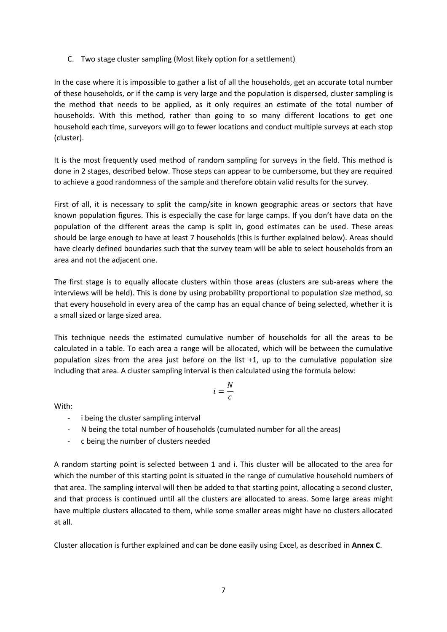### C. Two stage cluster sampling (Most likely option for a settlement)

In the case where it is impossible to gather a list of all the households, get an accurate total number of these households, or if the camp is very large and the population is dispersed, cluster sampling is the method that needs to be applied, as it only requires an estimate of the total number of households. With this method, rather than going to so many different locations to get one household each time, surveyors will go to fewer locations and conduct multiple surveys at each stop (cluster).

It is the most frequently used method of random sampling for surveys in the field. This method is done in 2 stages, described below. Those steps can appear to be cumbersome, but they are required to achieve a good randomness of the sample and therefore obtain valid results for the survey.

First of all, it is necessary to split the camp/site in known geographic areas or sectors that have known population figures. This is especially the case for large camps. If you don't have data on the population of the different areas the camp is split in, good estimates can be used. These areas should be large enough to have at least 7 households (this is further explained below). Areas should have clearly defined boundaries such that the survey team will be able to select households from an area and not the adjacent one.

The first stage is to equally allocate clusters within those areas (clusters are sub-areas where the interviews will be held). This is done by using probability proportional to population size method, so that every household in every area of the camp has an equal chance of being selected, whether it is a small sized or large sized area.

This technique needs the estimated cumulative number of households for all the areas to be calculated in a table. To each area a range will be allocated, which will be between the cumulative population sizes from the area just before on the list +1, up to the cumulative population size including that area. A cluster sampling interval is then calculated using the formula below:

$$
i=\frac{N}{c}
$$

With:

- i being the cluster sampling interval
- N being the total number of households (cumulated number for all the areas)
- c being the number of clusters needed

A random starting point is selected between 1 and i. This cluster will be allocated to the area for which the number of this starting point is situated in the range of cumulative household numbers of that area. The sampling interval will then be added to that starting point, allocating a second cluster, and that process is continued until all the clusters are allocated to areas. Some large areas might have multiple clusters allocated to them, while some smaller areas might have no clusters allocated at all.

Cluster allocation is further explained and can be done easily using Excel, as described in **Annex C**.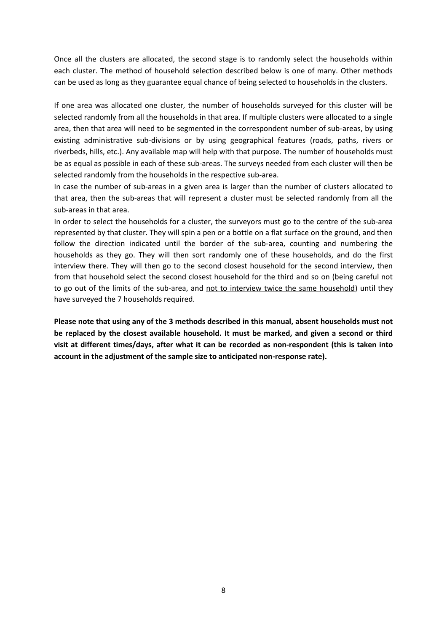Once all the clusters are allocated, the second stage is to randomly select the households within each cluster. The method of household selection described below is one of many. Other methods can be used as long as they guarantee equal chance of being selected to households in the clusters.

If one area was allocated one cluster, the number of households surveyed for this cluster will be selected randomly from all the households in that area. If multiple clusters were allocated to a single area, then that area will need to be segmented in the correspondent number of sub-areas, by using existing administrative sub-divisions or by using geographical features (roads, paths, rivers or riverbeds, hills, etc.). Any available map will help with that purpose. The number of households must be as equal as possible in each of these sub-areas. The surveys needed from each cluster will then be selected randomly from the households in the respective sub-area.

In case the number of sub-areas in a given area is larger than the number of clusters allocated to that area, then the sub-areas that will represent a cluster must be selected randomly from all the sub-areas in that area.

In order to select the households for a cluster, the surveyors must go to the centre of the sub-area represented by that cluster. They will spin a pen or a bottle on a flat surface on the ground, and then follow the direction indicated until the border of the sub-area, counting and numbering the households as they go. They will then sort randomly one of these households, and do the first interview there. They will then go to the second closest household for the second interview, then from that household select the second closest household for the third and so on (being careful not to go out of the limits of the sub-area, and not to interview twice the same household) until they have surveyed the 7 households required.

**Please note that using any of the 3 methods described in this manual, absent households must not be replaced by the closest available household. It must be marked, and given a second or third visit at different times/days, after what it can be recorded as non-respondent (this is taken into account in the adjustment of the sample size to anticipated non-response rate).**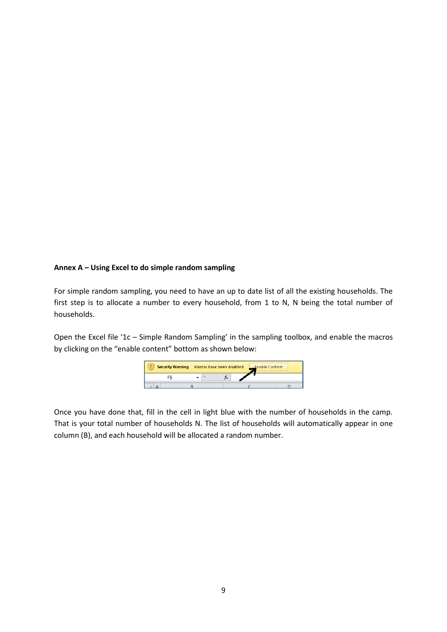#### **Annex A – Using Excel to do simple random sampling**

For simple random sampling, you need to have an up to date list of all the existing households. The first step is to allocate a number to every household, from 1 to N, N being the total number of households.

Open the Excel file '1c – Simple Random Sampling' in the sampling toolbox, and enable the macros by clicking on the "enable content" bottom as shown below:



Once you have done that, fill in the cell in light blue with the number of households in the camp. That is your total number of households N. The list of households will automatically appear in one column (B), and each household will be allocated a random number.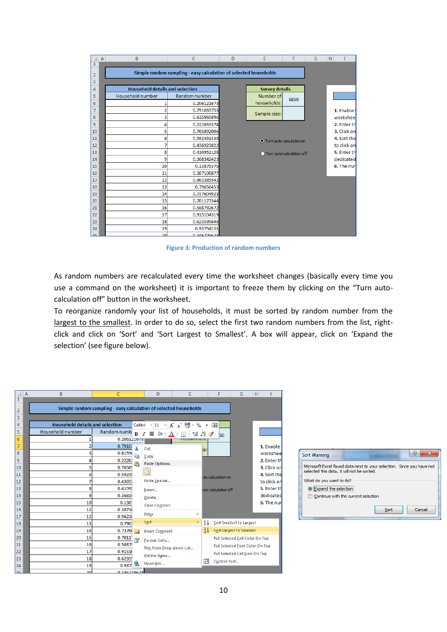| ◢  | A | B                                      | C                                                                | D | Ë                         | F    | G | H |             |
|----|---|----------------------------------------|------------------------------------------------------------------|---|---------------------------|------|---|---|-------------|
| 1  |   |                                        |                                                                  |   |                           |      |   |   |             |
| 2  |   |                                        | Simple random sampling - easy calculation of selected households |   |                           |      |   |   |             |
| 3  |   |                                        |                                                                  |   |                           |      |   |   |             |
| 4  |   | <b>Household details and selection</b> |                                                                  |   | <b>Survey details</b>     |      |   |   |             |
| 5  |   | Household number                       | Random number                                                    |   | Number of                 | 6850 |   |   |             |
| 6  |   |                                        | 0.206121673                                                      |   | households:               |      |   |   |             |
| 7  |   |                                        | 0.791033753                                                      |   | Sample size:              |      |   |   | 1. Enable t |
| 8  |   | 3                                      | 0.615965896                                                      |   |                           |      |   |   | worksheet   |
| 9  |   | 4                                      | 0.222833374                                                      |   |                           |      |   |   | 2. Enter th |
| 10 |   | 5                                      | 0.765892006                                                      |   |                           |      |   |   | 3. Click on |
| 11 |   | 6                                      | 0.592391334                                                      |   | Turn auto-calculation on  |      |   |   | 4. Sort the |
| 12 |   |                                        | 0.436923822                                                      |   |                           |      |   |   | to click on |
| 13 |   | 8                                      | 0.410952128                                                      |   | Turn auto-calculation off |      |   |   | 5. Enter th |
| 14 |   | 9                                      | 0.368342423                                                      |   |                           |      |   |   | dedicated   |
| 15 |   | 10                                     | 0.13875375                                                       |   |                           |      |   |   | 6. The nun  |
| 16 |   | 11                                     | 0.387100877                                                      |   |                           |      |   |   |             |
| 17 |   | 12                                     | 0.962385542                                                      |   |                           |      |   |   |             |
| 18 |   | 13                                     | 0.79656453                                                       |   |                           |      |   |   |             |
| 19 |   | 14                                     | 0.737604923                                                      |   |                           |      |   |   |             |
| 20 |   | 15                                     | 0.701177344                                                      |   |                           |      |   |   |             |
| 21 |   | 16                                     | 0.588792672                                                      |   |                           |      |   |   |             |
| 22 |   | 17                                     | 0.915104319                                                      |   |                           |      |   |   |             |
| 23 |   | 18                                     | 0.623595648                                                      |   |                           |      |   |   |             |
| 24 |   | 19                                     | 0.93754151                                                       |   |                           |      |   |   |             |
| 25 |   | 20 <sub>0</sub>                        | 0.346729674                                                      |   |                           |      |   |   |             |

**Figure 3: Production of random numbers**

As random numbers are recalculated every time the worksheet changes (basically every time you use a command on the worksheet) it is important to freeze them by clicking on the "Turn autocalculation off" button in the worksheet.

To reorganize randomly your list of households, it must be sorted by random number from the largest to the smallest. In order to do so, select the first two random numbers from the list, rightclick and click on 'Sort' and 'Sort Largest to Smallest'. A box will appear, click on 'Expand the selection' (see figure below).

| ⊿        | $\overline{A}$ | B                                                                | Ċ                           | D                                                       | E                                                 |               | F                              | G                              | H |             |  |
|----------|----------------|------------------------------------------------------------------|-----------------------------|---------------------------------------------------------|---------------------------------------------------|---------------|--------------------------------|--------------------------------|---|-------------|--|
| 1        |                |                                                                  |                             |                                                         |                                                   |               |                                |                                |   |             |  |
| 2        |                | Simple random sampling - easy calculation of selected households |                             |                                                         |                                                   |               |                                |                                |   |             |  |
| 3        |                |                                                                  |                             |                                                         |                                                   |               |                                |                                |   |             |  |
| 4        |                | <b>Household details and selection</b>                           | Calibri                     | $-11$                                                   | $\mathbf{A} \times \mathbf{A}$                    |               | $-3.4$                         |                                |   |             |  |
| 5        |                | Household number                                                 | Random numb<br>$\mathbf{R}$ | $\mathbf{A} \cdot \mathbf{A}$<br>亖<br>$\overline{I}$    | $\Box$ $\sim$ $\frac{4.0}{0.0}$ $\frac{.08}{0.0}$ | ক             | 50                             |                                |   |             |  |
| 6        |                |                                                                  | 0.206121073                 |                                                         | nousenoius.                                       |               |                                |                                |   |             |  |
| 7        |                | 2                                                                | 0.7910<br>Ж                 | Cut                                                     |                                                   | te:           |                                |                                |   | 1. Enable:  |  |
| 8        |                |                                                                  | 0.6159<br>h                 | Copy                                                    |                                                   |               |                                |                                |   | workshee    |  |
| 9        |                |                                                                  | 0.2228<br>r.                | <b>Paste Options:</b>                                   |                                                   |               |                                |                                |   | 2. Enter th |  |
| 10       |                | 5                                                                | 0.7658                      | ė                                                       |                                                   |               |                                |                                |   | 3. Click on |  |
| 11       |                | 6                                                                | 0.59239                     |                                                         |                                                   |               | uto-calculation on             |                                |   | 4. Sort the |  |
| 12       |                |                                                                  | 0.4369                      | Paste Special                                           |                                                   |               |                                |                                |   | to click on |  |
| 13       |                | 8                                                                | 0.4109                      | Insert                                                  |                                                   |               | uto-calculation off            |                                |   | 5. Enter th |  |
| 14       |                | 9                                                                | 0.36834                     | Delete                                                  |                                                   |               |                                |                                |   | dedicated   |  |
| 15       |                | 10                                                               | 0.138                       | <b>Clear Contents</b>                                   |                                                   |               |                                |                                |   | 6. The nun  |  |
| 16       |                | 11                                                               | 0.3871                      | Filter                                                  |                                                   |               |                                |                                |   |             |  |
| 17       |                | 12                                                               | 0.9623                      | Sort                                                    | k                                                 | $\frac{A}{Z}$ |                                |                                |   |             |  |
| 18       |                | 13                                                               | 0.796                       |                                                         |                                                   |               |                                | Sort Smallest to Largest       |   |             |  |
| 19       |                | 14                                                               | 0.73760                     | <b>Insert Comment</b>                                   |                                                   | $\frac{Z}{A}$ |                                | Sort Largest to Smallest       |   |             |  |
| 20       |                | 15<br>16                                                         | 0.7011<br>合<br>0.5887       | Format Cells<br>Pick From Drop-down List<br>Define Name |                                                   |               | Put Selected Cell Color On Top |                                |   |             |  |
| 21<br>22 |                | 17                                                               | 0.9151                      |                                                         |                                                   |               |                                | Put Selected Font Color On Top |   |             |  |
| 23       |                | 18                                                               | 0.6235!                     |                                                         |                                                   |               | Put Selected Cell Icon On Top  |                                |   |             |  |
| 24       |                | 19                                                               | 0.937                       | Hyperlink                                               |                                                   | 开             | Custom Sort                    |                                |   |             |  |
| ה כ      |                | 20 <sub>0</sub>                                                  | <b>0.246729674</b>          |                                                         |                                                   |               |                                |                                |   |             |  |

| 임<br>Sort Warning                                                                                                   |
|---------------------------------------------------------------------------------------------------------------------|
| Microsoft Excel found data next to your selection. Since you have not<br>selected this data, it will not be sorted. |
| What do you want to do?                                                                                             |
| Expand the selection                                                                                                |
| © Continue with the current selection                                                                               |
| Cancel<br>Sort                                                                                                      |
|                                                                                                                     |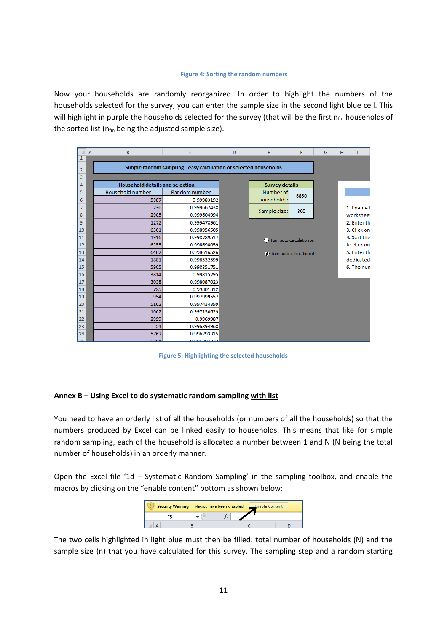#### **Figure 4: Sorting the random numbers**

Now your households are randomly reorganized. In order to highlight the numbers of the households selected for the survey, you can enter the sample size in the second light blue cell. This will highlight in purple the households selected for the survey (that will be the first  $n_{fin}$  households of the sorted list ( $n_{fin}$  being the adjusted sample size).

|                | A | B                                                                | $\mathsf{C}$  | D | E                         | F    | G | H |             |
|----------------|---|------------------------------------------------------------------|---------------|---|---------------------------|------|---|---|-------------|
| $\overline{1}$ |   |                                                                  |               |   |                           |      |   |   |             |
| $\overline{2}$ |   | Simple random sampling - easy calculation of selected households |               |   |                           |      |   |   |             |
| 3              |   |                                                                  |               |   |                           |      |   |   |             |
| 4              |   | <b>Household details and selection</b>                           |               |   | <b>Survey details</b>     |      |   |   |             |
| 5              |   | Household number                                                 | Random number |   | Number of                 | 6850 |   |   |             |
| 6              |   | 5887                                                             | 0.99983192    |   | households:               |      |   |   |             |
| $\overline{7}$ |   | 236                                                              | 0.999667438   |   | Sample size:              | 360  |   |   | 1. Enable t |
| 8              |   | 2905                                                             | 0.999604994   |   |                           |      |   |   | worksheel   |
| 9              |   | 1272                                                             | 0.999478961   |   |                           |      |   |   | 2. Enter th |
| 10             |   | 6501                                                             | 0.998956505   |   |                           |      |   |   | 3. Click on |
| 11             |   | 1916                                                             | 0.998789517   |   | Turn auto-calculation on  |      |   |   | 4. Sort the |
| 12             |   | 6355                                                             | 0.998698059   |   |                           |      |   |   | to click on |
| 13             |   | 6482                                                             | 0.998616526   |   | Turn auto-calculation off |      |   |   | 5. Enter th |
| 14             |   | 1881                                                             | 0.998532599   |   |                           |      |   |   | dedicated   |
| 15             |   | 5905                                                             | 0.998351751   |   |                           |      |   |   | 6. The nun  |
| 16             |   | 3814                                                             | 0.99815295    |   |                           |      |   |   |             |
| 17             |   | 3038                                                             | 0.998087023   |   |                           |      |   |   |             |
| 18             |   | 725                                                              | 0.99801312    |   |                           |      |   |   |             |
| 19             |   | 954                                                              | 0.997999557   |   |                           |      |   |   |             |
| 20             |   | 5162                                                             | 0.997434399   |   |                           |      |   |   |             |
| 21             |   | 1062                                                             | 0.997130629   |   |                           |      |   |   |             |
| 22             |   | 2999                                                             | 0.9969987     |   |                           |      |   |   |             |
| 23             |   | 24                                                               | 0.996894968   |   |                           |      |   |   |             |
| 24             |   | 5762                                                             | 0.996793315   |   |                           |      |   |   |             |
| 25.            |   | <b>GOOA</b>                                                      | 0.006704277   |   |                           |      |   |   |             |

**Figure 5: Highlighting the selected households**

#### **Annex B – Using Excel to do systematic random sampling with list**

You need to have an orderly list of all the households (or numbers of all the households) so that the numbers produced by Excel can be linked easily to households. This means that like for simple random sampling, each of the household is allocated a number between 1 and N (N being the total number of households) in an orderly manner.

Open the Excel file '1d – Systematic Random Sampling' in the sampling toolbox, and enable the macros by clicking on the "enable content" bottom as shown below:



The two cells highlighted in light blue must then be filled: total number of households (N) and the sample size (n) that you have calculated for this survey. The sampling step and a random starting